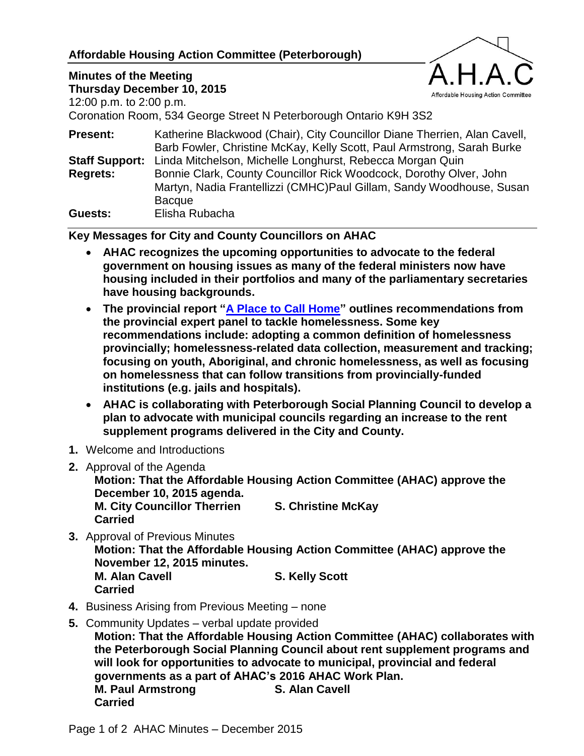## **Affordable Housing Action Committee (Peterborough)**

## **Minutes of the Meeting**



**Thursday December 10, 2015** 12:00 p.m. to 2:00 p.m.

Coronation Room, 534 George Street N Peterborough Ontario K9H 3S2

| Katherine Blackwood (Chair), City Councillor Diane Therrien, Alan Cavell,<br>Barb Fowler, Christine McKay, Kelly Scott, Paul Armstrong, Sarah Burke |
|-----------------------------------------------------------------------------------------------------------------------------------------------------|
| Linda Mitchelson, Michelle Longhurst, Rebecca Morgan Quin                                                                                           |
| Bonnie Clark, County Councillor Rick Woodcock, Dorothy Olver, John<br>Martyn, Nadia Frantellizzi (CMHC)Paul Gillam, Sandy Woodhouse, Susan          |
| <b>Bacque</b><br>Elisha Rubacha                                                                                                                     |
|                                                                                                                                                     |

**Key Messages for City and County Councillors on AHAC**

- **AHAC recognizes the upcoming opportunities to advocate to the federal government on housing issues as many of the federal ministers now have housing included in their portfolios and many of the parliamentary secretaries have housing backgrounds.**
- **The provincial report ["A Place to Call Home"](https://news.ontario.ca/mah/en/2015/10/a-place-to-call-home-report-of-the-expert-advisory-panel-on-homelessness.html) outlines recommendations from the provincial expert panel to tackle homelessness. Some key recommendations include: adopting a common definition of homelessness provincially; homelessness-related data collection, measurement and tracking; focusing on youth, Aboriginal, and chronic homelessness, as well as focusing on homelessness that can follow transitions from provincially-funded institutions (e.g. jails and hospitals).**
- **AHAC is collaborating with Peterborough Social Planning Council to develop a plan to advocate with municipal councils regarding an increase to the rent supplement programs delivered in the City and County.**
- **1.** Welcome and Introductions
- **2.** Approval of the Agenda

**Motion: That the Affordable Housing Action Committee (AHAC) approve the December 10, 2015 agenda. M. City Councillor Therrien S. Christine McKay Carried**

**3.** Approval of Previous Minutes

**Motion: That the Affordable Housing Action Committee (AHAC) approve the November 12, 2015 minutes. M. Alan Cavell S. Kelly Scott Carried**

- **4.** Business Arising from Previous Meeting none
- **5.** Community Updates verbal update provided **Motion: That the Affordable Housing Action Committee (AHAC) collaborates with the Peterborough Social Planning Council about rent supplement programs and will look for opportunities to advocate to municipal, provincial and federal governments as a part of AHAC's 2016 AHAC Work Plan. M. Paul Armstrong S. Alan Cavell Carried**